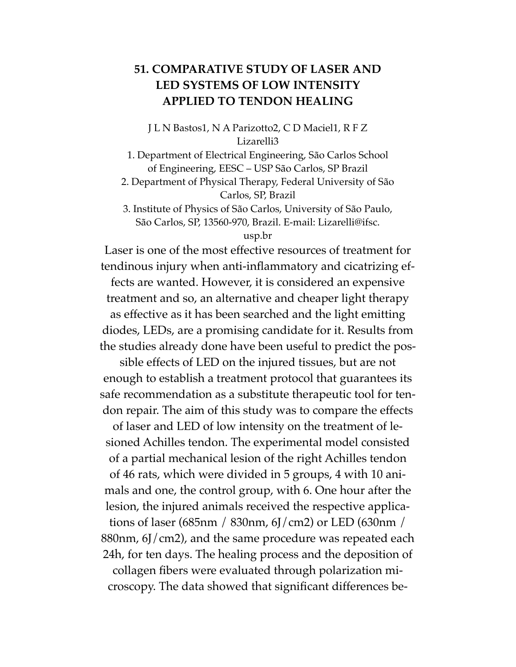## **51. COMPARATIVE STUDY OF LASER AND LED SYSTEMS OF LOW INTENSITY APPLIED TO TENDON HEALING**

J L N Bastos1, N A Parizotto2, C D Maciel1, R F Z Lizarelli3

1. Department of Electrical Engineering, São Carlos School of Engineering, EESC – USP São Carlos, SP Brazil 2. Department of Physical Therapy, Federal University of São

Carlos, SP, Brazil

3. Institute of Physics of São Carlos, University of São Paulo, São Carlos, SP, 13560-970, Brazil. E-mail: Lizarelli@ifsc.

usp.br

Laser is one of the most effective resources of treatment for tendinous injury when anti-inflammatory and cicatrizing effects are wanted. However, it is considered an expensive treatment and so, an alternative and cheaper light therapy as effective as it has been searched and the light emitting diodes, LEDs, are a promising candidate for it. Results from the studies already done have been useful to predict the pos-

sible effects of LED on the injured tissues, but are not enough to establish a treatment protocol that guarantees its safe recommendation as a substitute therapeutic tool for tendon repair. The aim of this study was to compare the effects

of laser and LED of low intensity on the treatment of lesioned Achilles tendon. The experimental model consisted of a partial mechanical lesion of the right Achilles tendon of 46 rats, which were divided in 5 groups, 4 with 10 animals and one, the control group, with 6. One hour after the lesion, the injured animals received the respective applications of laser (685nm / 830nm, 6J/cm2) or LED (630nm / 880nm, 6J/cm2), and the same procedure was repeated each 24h, for ten days. The healing process and the deposition of collagen fibers were evaluated through polarization microscopy. The data showed that significant differences be